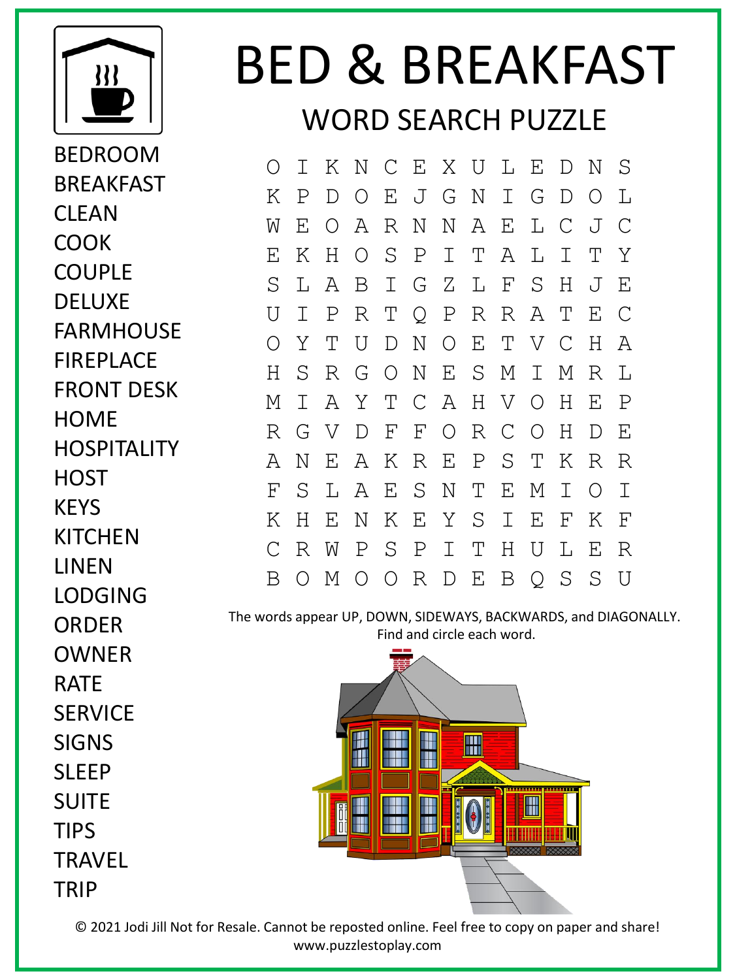

BEDROOM BREAKFAST **CLFAN COOK** COUPLE DELUXE FARMHOUSE FIREPLACE FRONT DESK **HOME HOSPITALITY** HOST **KFYS KITCHEN** LINEN LODGING **ORDER** OWNER RATE **SERVICE** SIGNS **SLEEP** SUITE TIPS **TRAVFI** 

TRIP

## BED & BREAKFAST WORD SEARCH PUZZLE

O I K N C E X U L E D N S K P D O E J G N I G D O L W E O A R N N A E L C J C E K H O S P I T A L I T Y S L A B I G Z L F S H J E U I P R T Q P R R A T E C O Y T U D N O E T V C H A H S R G O N E S M I M R L M I A Y T C A H V O H E P R G V D F F O R C O H D E A N E A K R E P S T K R R F S L A E S N T E M I O I K H E N K E Y S I E F K F C R W P S P I T H U L E R B O M O O R D E B Q S S U

The words appear UP, DOWN, SIDEWAYS, BACKWARDS, and DIAGONALLY. Find and circle each word.



© 2021 Jodi Jill Not for Resale. Cannot be reposted online. Feel free to copy on paper and share! www.puzzlestoplay.com